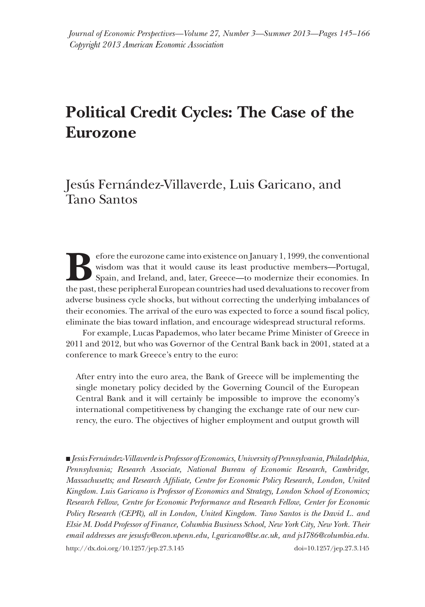# **Political Credit Cycles: The Case of the Eurozone**

# Jesús Fernández-Villaverde, Luis Garicano, and Tano Santos

Experience on January 1, 1999, the conventional wisdom was that it would cause its least productive members—Portugal, Spain, and Ireland, and, later, Greece—to modernize their economies. In the past, these peripheral Europ wisdom was that it would cause its least productive members—Portugal, Spain, and Ireland, and, later, Greece—to modernize their economies. In the past, these peripheral European countries had used devaluations to recover from adverse business cycle shocks, but without correcting the underlying imbalances of their economies. The arrival of the euro was expected to force a sound fiscal policy, eliminate the bias toward inflation, and encourage widespread structural reforms.

For example, Lucas Papademos, who later became Prime Minister of Greece in 2011 and 2012, but who was Governor of the Central Bank back in 2001, stated at a conference to mark Greece's entry to the euro:

After entry into the euro area, the Bank of Greece will be implementing the single monetary policy decided by the Governing Council of the European Central Bank and it will certainly be impossible to improve the economy's international competitiveness by changing the exchange rate of our new currency, the euro. The objectives of higher employment and output growth will

■ *Jesús Fernández-Villaverde is Professor of Economics, University of Pennsylvania, Philadelphia, Philadelphia, Pennsylvania; Research Associate, National Bureau of Economic Research, Cambridge, Massachusetts; and Research Affiliate, Centre for Economic Policy Research, London, United Kingdom. Luis Garicano is Professor of Economics and Strategy, London School of Economics; Research Fellow, Centre for Economic Performance and Research Fellow, Center for Economic Policy Research (CEPR), all in London, United Kingdom. Tano Santos is the David L. and Elsie M. Dodd Professor of Finance, Columbia Business School, New York City, New York. Their Dodd of School, City, York. email addresses are jesusfv@econ.upenn.edu, l.garicano@lse.ac.uk, and js1786@columbia.edu. are jesusfv@econ.upenn.edu, and*  http://dx.doi.org/10.1257/jep.27.3.145 [doi=10.1257/jep.27.3.145](http://dx.doi.org/10.1257/jep.27.3.145)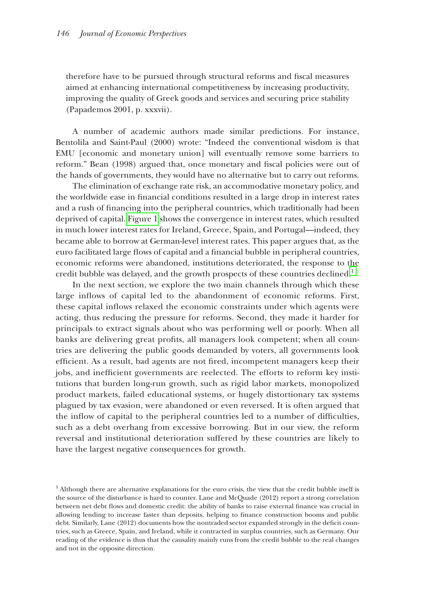therefore have to be pursued through structural reforms and fiscal measures aimed at enhancing international competitiveness by increasing productivity, improving the quality of Greek goods and services and securing price stability (Papademos 2001, p. xxxvii).

A number of academic authors made similar predictions. For instance, Bentolila and Saint-Paul (2000) wrote: "Indeed the conventional wisdom is that EMU [economic and monetary union] will eventually remove some barriers to reform." Bean (1998) argued that, once monetary and fiscal policies were out of the hands of governments, they would have no alternative but to carry out reforms.

The elimination of exchange rate risk, an accommodative monetary policy, and the worldwide ease in financial conditions resulted in a large drop in interest rates and a rush of financing into the peripheral countries, which traditionally had been deprived of capital. [Figure 1](#page-2-0) shows the convergence in interest rates, which resulted in much lower interest rates for Ireland, Greece, Spain, and Portugal—indeed, they became able to borrow at German-level interest rates. This paper argues that, as the euro facilitated large flows of capital and a financial bubble in peripheral countries, economic reforms were abandoned, institutions deteriorated, the response to the credit bubble was delayed, and the growth prospects of these countries declined.<sup>1</sup>

In the next section, we explore the two main channels through which these large inflows of capital led to the abandonment of economic reforms. First, these capital inflows relaxed the economic constraints under which agents were acting, thus reducing the pressure for reforms. Second, they made it harder for principals to extract signals about who was performing well or poorly. When all banks are delivering great profits, all managers look competent; when all countries are delivering the public goods demanded by voters, all governments look efficient. As a result, bad agents are not fired, incompetent managers keep their jobs, and inefficient governments are reelected. The efforts to reform key institutions that burden long-run growth, such as rigid labor markets, monopolized product markets, failed educational systems, or hugely distortionary tax systems plagued by tax evasion, were abandoned or even reversed. It is often argued that the inflow of capital to the peripheral countries led to a number of difficulties, such as a debt overhang from excessive borrowing. But in our view, the reform reversal and institutional deterioration suffered by these countries are likely to have the largest negative consequences for growth.

<sup>&</sup>lt;sup>1</sup> Although there are alternative explanations for the euro crisis, the view that the credit bubble itself is the source of the disturbance is hard to counter. Lane and McQuade (2012) report a strong correlation between net debt flows and domestic credit: the ability of banks to raise external finance was crucial in allowing lending to increase faster than deposits, helping to finance construction booms and public debt. Similarly, Lane (2012) documents how the nontraded sector expanded strongly in the deficit countries, such as Greece, Spain, and Ireland, while it contracted in surplus countries, such as Germany. Our reading of the evidence is thus that the causality mainly runs from the credit bubble to the real changes and not in the opposite direction.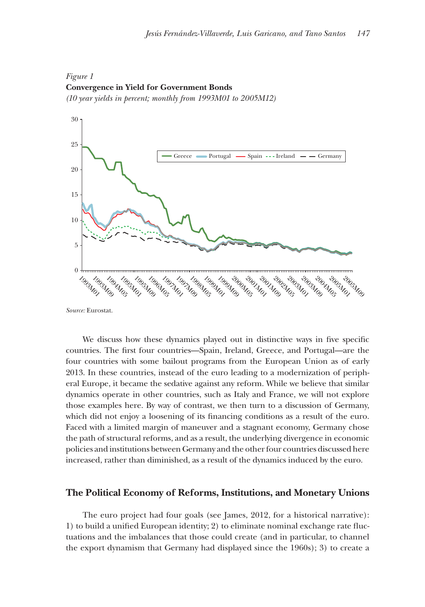<span id="page-2-0"></span>*Figure 1* **Convergence in Yield for Government Bonds** *(10 year yields in percent; monthly from 1993M01 to 2005M12)*



*Source:* Eurostat.

We discuss how these dynamics played out in distinctive ways in five specific countries. The first four countries—Spain, Ireland, Greece, and Portugal—are the four countries with some bailout programs from the European Union as of early 2013. In these countries, instead of the euro leading to a modernization of peripheral Europe, it became the sedative against any reform. While we believe that similar dynamics operate in other countries, such as Italy and France, we will not explore those examples here. By way of contrast, we then turn to a discussion of Germany, which did not enjoy a loosening of its financing conditions as a result of the euro. Faced with a limited margin of maneuver and a stagnant economy, Germany chose the path of structural reforms, and as a result, the underlying divergence in economic policies and institutions between Germany and the other four countries discussed here increased, rather than diminished, as a result of the dynamics induced by the euro.

#### **The Political Economy of Reforms, Institutions, and Monetary Unions**

The euro project had four goals (see James, 2012, for a historical narrative): 1) to build a unified European identity; 2) to eliminate nominal exchange rate fluctuations and the imbalances that those could create (and in particular, to channel the export dynamism that Germany had displayed since the 1960s); 3) to create a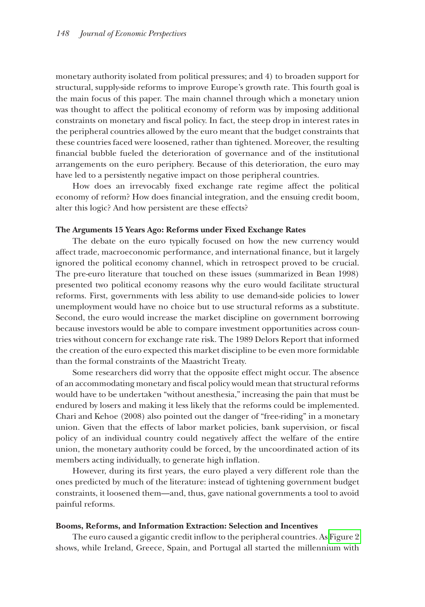monetary authority isolated from political pressures; and 4) to broaden support for structural, supply-side reforms to improve Europe's growth rate. This fourth goal is the main focus of this paper. The main channel through which a monetary union was thought to affect the political economy of reform was by imposing additional constraints on monetary and fiscal policy. In fact, the steep drop in interest rates in the peripheral countries allowed by the euro meant that the budget constraints that these countries faced were loosened, rather than tightened. Moreover, the resulting financial bubble fueled the deterioration of governance and of the institutional arrangements on the euro periphery. Because of this deterioration, the euro may have led to a persistently negative impact on those peripheral countries.

How does an irrevocably fixed exchange rate regime affect the political economy of reform? How does financial integration, and the ensuing credit boom, alter this logic? And how persistent are these effects?

#### **The Arguments 15 Years Ago: Reforms under Fixed Exchange Rates**

The debate on the euro typically focused on how the new currency would affect trade, macroeconomic performance, and international finance, but it largely ignored the political economy channel, which in retrospect proved to be crucial. The pre-euro literature that touched on these issues (summarized in Bean 1998) presented two political economy reasons why the euro would facilitate structural reforms. First, governments with less ability to use demand-side policies to lower unemployment would have no choice but to use structural reforms as a substitute. Second, the euro would increase the market discipline on government borrowing because investors would be able to compare investment opportunities across countries without concern for exchange rate risk. The 1989 Delors Report that informed the creation of the euro expected this market discipline to be even more formidable than the formal constraints of the Maastricht Treaty.

Some researchers did worry that the opposite effect might occur. The absence of an accommodating monetary and fiscal policy would mean that structural reforms would have to be undertaken "without anesthesia," increasing the pain that must be endured by losers and making it less likely that the reforms could be implemented. Chari and Kehoe (2008) also pointed out the danger of "free-riding" in a monetary union. Given that the effects of labor market policies, bank supervision, or fiscal policy of an individual country could negatively affect the welfare of the entire union, the monetary authority could be forced, by the uncoordinated action of its members acting individually, to generate high inflation.

However, during its first years, the euro played a very different role than the ones predicted by much of the literature: instead of tightening government budget constraints, it loosened them—and, thus, gave national governments a tool to avoid painful reforms.

#### **Booms, Reforms, and Information Extraction: Selection and Incentives**

The euro caused a gigantic credit inflow to the peripheral countries. As Figure 2 shows, while Ireland, Greece, Spain, and Portugal all started the millennium with hows, while Ireland, Greece, Spain, and Portugal all started the millennium with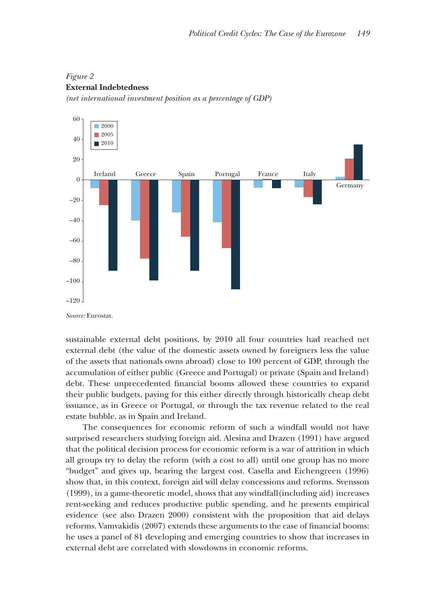

# <span id="page-4-0"></span>*Figure 2* **External Indebtedness**

*(net international investment position as a percentage of GDP)*

*Source:* Eurostat.

sustainable external debt positions, by 2010 all four countries had reached net external debt (the value of the domestic assets owned by foreigners less the value of the assets that nationals owns abroad) close to 100 percent of GDP, through the accumulation of either public (Greece and Portugal) or private (Spain and Ireland) debt. These unprecedented financial booms allowed these countries to expand their public budgets, paying for this either directly through historically cheap debt issuance, as in Greece or Portugal, or through the tax revenue related to the real estate bubble, as in Spain and Ireland.

The consequences for economic reform of such a windfall would not have surprised researchers studying foreign aid. Alesina and Drazen (1991) have argued that the political decision process for economic reform is a war of attrition in which hat the political decision process for economic reform is a war of attrition in which all groups try to delay the reform (with a cost to all) until one group has no more "budget" and gives up, bearing the largest cost. Casella and Eichengreen (1996) budget" and gives up, bearing the largest cost. Casella and Eichengreen (1996) show that, in this context, foreign aid will delay concessions and reforms. Svensson how that, in this context, foreign aid will delay concessions and reforms. Svensson  $(1999)$ , in a game-theoretic model, shows that any windfall (including aid) increases rent-seeking and reduces productive public spending, and he presents empirical evidence (see also Drazen 2000) consistent with the proposition that aid delays reforms. Vamvakidis (2007) extends these arguments to the case of financial booms: he uses a panel of 81 developing and emerging countries to show that increases in external debt are correlated with slowdowns in economic reforms.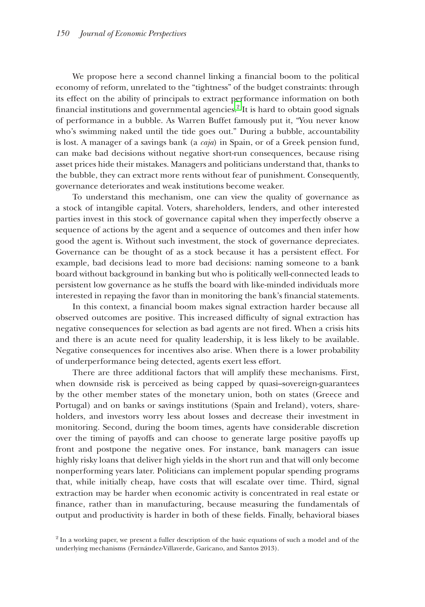We propose here a second channel linking a financial boom to the political economy of reform, unrelated to the "tightness" of the budget constraints: through its effect on the ability of principals to extract performance information on both financial institutions and governmental agencies.<sup>2</sup> It is hard to obtain good signals of performance in a bubble. As Warren Buffet famously put it, "You never know f performance in a bubble. As Warren Buffet famously put it, "You never know who's swimming naked until the tide goes out." During a bubble, accountability is lost. A manager of a savings bank (a *caja*) in Spain, or of a Greek pension fund, can make bad decisions without negative short-run consequences, because rising asset prices hide their mistakes. Managers and politicians understand that, thanks to the bubble, they can extract more rents without fear of punishment. Consequently, governance deteriorates and weak institutions become weaker.

To understand this mechanism, one can view the quality of governance as a stock of intangible capital. Voters, shareholders, lenders, and other interested parties invest in this stock of governance capital when they imperfectly observe a sequence of actions by the agent and a sequence of outcomes and then infer how good the agent is. Without such investment, the stock of governance depreciates. Governance can be thought of as a stock because it has a persistent effect. For example, bad decisions lead to more bad decisions: naming someone to a bank board without background in banking but who is politically well-connected leads to persistent low governance as he stuffs the board with like-minded individuals more interested in repaying the favor than in monitoring the bank's financial statements.

In this context, a financial boom makes signal extraction harder because all observed outcomes are positive. This increased difficulty of signal extraction has negative consequences for selection as bad agents are not fired. When a crisis hits and there is an acute need for quality leadership, it is less likely to be available. Negative consequences for incentives also arise. When there is a lower probability of underperformance being detected, agents exert less effort.

There are three additional factors that will amplify these mechanisms. First, when downside risk is perceived as being capped by quasi–sovereign-guarantees by the other member states of the monetary union, both on states (Greece and Portugal) and on banks or savings institutions (Spain and Ireland), voters, shareholders, and investors worry less about losses and decrease their investment in monitoring. Second, during the boom times, agents have considerable discretion over the timing of payoffs and can choose to generate large positive payoffs up front and postpone the negative ones. For instance, bank managers can issue highly risky loans that deliver high yields in the short run and that will only become nonperforming years later. Politicians can implement popular spending programs that, while initially cheap, have costs that will escalate over time. Third, signal extraction may be harder when economic activity is concentrated in real estate or finance, rather than in manufacturing, because measuring the fundamentals of output and productivity is harder in both of these fields. Finally, behavioral biases

<sup>2</sup> In a working paper, we present a fuller description of the basic equations of such a model and of the underlying mechanisms (Fernández-Villaverde, Garicano, and Santos 2013).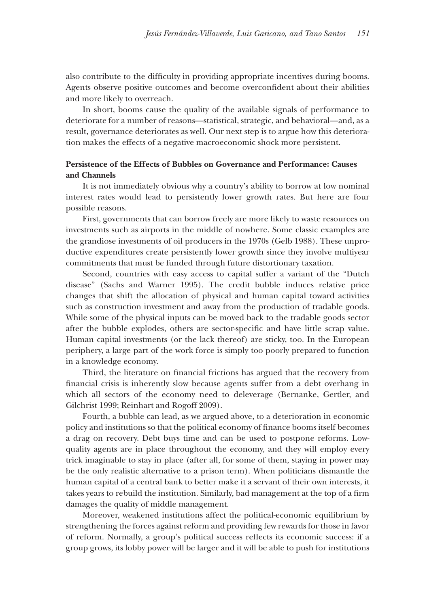also contribute to the difficulty in providing appropriate incentives during booms. Agents observe positive outcomes and become overconfident about their abilities and more likely to overreach.

In short, booms cause the quality of the available signals of performance to deteriorate for a number of reasons—statistical, strategic, and behavioral—and, as a result, governance deteriorates as well. Our next step is to argue how this deterioration makes the effects of a negative macroeconomic shock more persistent.

#### **Persistence of the Effects of Bubbles on Governance and Performance: Causes and Channels**

It is not immediately obvious why a country's ability to borrow at low nominal interest rates would lead to persistently lower growth rates. But here are four possible reasons.

First, governments that can borrow freely are more likely to waste resources on investments such as airports in the middle of nowhere. Some classic examples are the grandiose investments of oil producers in the 1970s (Gelb 1988). These unproductive expenditures create persistently lower growth since they involve multiyear commitments that must be funded through future distortionary taxation.

Second, countries with easy access to capital suffer a variant of the "Dutch disease" (Sachs and Warner 1995). The credit bubble induces relative price changes that shift the allocation of physical and human capital toward activities such as construction investment and away from the production of tradable goods. While some of the physical inputs can be moved back to the tradable goods sector after the bubble explodes, others are sector-specific and have little scrap value. Human capital investments (or the lack thereof) are sticky, too. In the European periphery, a large part of the work force is simply too poorly prepared to function in a knowledge economy.

Third, the literature on financial frictions has argued that the recovery from financial crisis is inherently slow because agents suffer from a debt overhang in which all sectors of the economy need to deleverage (Bernanke, Gertler, and Gilchrist 1999; Reinhart and Rogoff 2009).

Fourth, a bubble can lead, as we argued above, to a deterioration in economic policy and institutions so that the political economy of finance booms itself becomes a drag on recovery. Debt buys time and can be used to postpone reforms. Lowquality agents are in place throughout the economy, and they will employ every trick imaginable to stay in place (after all, for some of them, staying in power may be the only realistic alternative to a prison term). When politicians dismantle the human capital of a central bank to better make it a servant of their own interests, it takes years to rebuild the institution. Similarly, bad management at the top of a firm damages the quality of middle management.

Moreover, weakened institutions affect the political-economic equilibrium by strengthening the forces against reform and providing few rewards for those in favor of reform. Normally, a group's political success reflects its economic success: if a group grows, its lobby power will be larger and it will be able to push for institutions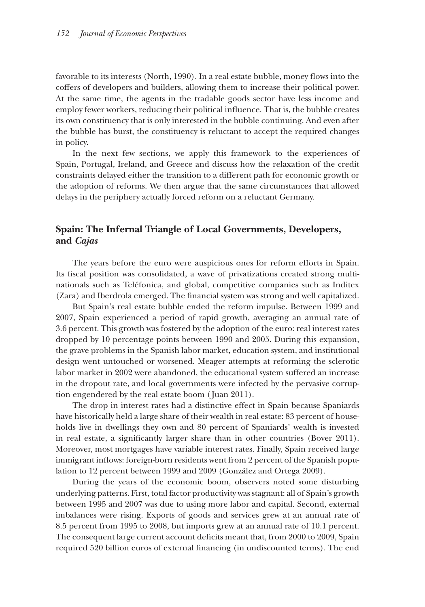favorable to its interests (North, 1990). In a real estate bubble, money flows into the coffers of developers and builders, allowing them to increase their political power. At the same time, the agents in the tradable goods sector have less income and employ fewer workers, reducing their political influence. That is, the bubble creates its own constituency that is only interested in the bubble continuing. And even after the bubble has burst, the constituency is reluctant to accept the required changes in policy.

In the next few sections, we apply this framework to the experiences of Spain, Portugal, Ireland, and Greece and discuss how the relaxation of the credit pain, Portugal, Ireland, and Greece and discuss how the relaxation of the credit constraints delayed either the transition to a different path for economic growth or the adoption of reforms. We then argue that the same circumstances that allowed delays in the periphery actually forced reform on a reluctant Germany.

### **Spain: The Infernal Triangle of Local Governments, Developers, and** *Cajas*

The years before the euro were auspicious ones for reform efforts in Spain. Its fiscal position was consolidated, a wave of privatizations created strong multinationals such as Teléfonica, and global, competitive companies such as Inditex (Zara) and Iberdrola emerged. The financial system was strong and well capitalized.

But Spain's real estate bubble ended the reform impulse. Between 1999 and 2007, Spain experienced a period of rapid growth, averaging an annual rate of 3.6 percent. This growth was fostered by the adoption of the euro: real interest rates dropped by 10 percentage points between 1990 and 2005. During this expansion, the grave problems in the Spanish labor market, education system, and institutional design went untouched or worsened. Meager attempts at reforming the sclerotic labor market in 2002 were abandoned, the educational system suffered an increase in the dropout rate, and local governments were infected by the pervasive corruption engendered by the real estate boom (Juan 2011).

The drop in interest rates had a distinctive effect in Spain because Spaniards have historically held a large share of their wealth in real estate: 83 percent of households live in dwellings they own and 80 percent of Spaniards' wealth is invested in real estate, a significantly larger share than in other countries (Bover 2011). Moreover, most mortgages have variable interest rates. Finally, Spain received large immigrant inflows: foreign-born residents went from 2 percent of the Spanish population to 12 percent between 1999 and 2009 (González and Ortega 2009).

During the years of the economic boom, observers noted some disturbing underlying patterns. First, total factor productivity was stagnant: all of Spain's growth between 1995 and 2007 was due to using more labor and capital. Second, external imbalances were rising. Exports of goods and services grew at an annual rate of 8.5 percent from 1995 to 2008, but imports grew at an annual rate of 10.1 percent. The consequent large current account deficits meant that, from 2000 to 2009, Spain required 520 billion euros of external financing (in undiscounted terms). The end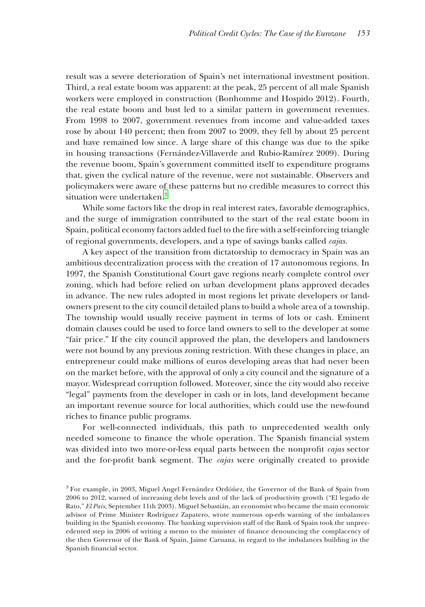result was a severe deterioration of Spain's net international investment position. Third, a real estate boom was apparent: at the peak, 25 percent of all male Spanish hird, a real estate boom was apparent: at the peak, 25 percent of all male Spanish workers were employed in construction (Bonhomme and Hospido 2012). Fourth, the real estate boom and bust led to a similar pattern in government revenues. From 1998 to 2007, government revenues from income and value-added taxes rose by about 140 percent; then from 2007 to 2009, they fell by about 25 percent and have remained low since. A large share of this change was due to the spike in housing transactions (Fernández-Villaverde and Rubio-Ramírez 2009). During the revenue boom, Spain's government committed itself to expenditure programs that, given the cyclical nature of the revenue, were not sustainable. Observers and policymakers were aware of these patterns but no credible measures to correct this situation were undertaken. $^3$ 

While some factors like the drop in real interest rates, favorable demographics, and the surge of immigration contributed to the start of the real estate boom in Spain, political economy factors added fuel to the fire with a self-reinforcing triangle of regional governments, developers, and a type of savings banks called *cajas*.

A key aspect of the transition from dictatorship to democracy in Spain was an ambitious decentralization process with the creation of 17 autonomous regions. In 1997, the Spanish Constitutional Court gave regions nearly complete control over zoning, which had before relied on urban development plans approved decades in advance. The new rules adopted in most regions let private developers or landowners present to the city council detailed plans to build a whole area of a township. The township would usually receive payment in terms of lots or cash. Eminent domain clauses could be used to force land owners to sell to the developer at some "fair price." If the city council approved the plan, the developers and landowners were not bound by any previous zoning restriction. With these changes in place, an entrepreneur could make millions of euros developing areas that had never been on the market before, with the approval of only a city council and the signature of a mayor. Widespread corruption followed. Moreover, since the city would also receive "legal" payments from the developer in cash or in lots, land development became an important revenue source for local authorities, which could use the new-found riches to finance public programs.

For well-connected individuals, this path to unprecedented wealth only needed someone to finance the whole operation. The Spanish financial system was divided into two more-or-less equal parts between the nonprofit *cajas* sector and the for-profit bank segment. The *cajas* were originally created to provide

<sup>3</sup> For example, in 2003, Miguel Angel Fernández Ordóñez, the Governor of the Bank of Spain from 2006 to 2012, warned of increasing debt levels and of the lack of productivity growth ("El legado de Rato," *El País*, September 11th 2003). Miguel Sebastián, an economist who became the main economic advisor of Prime Minister Rodríguez Zapatero, wrote numerous op-eds warning of the imbalances building in the Spanish economy. The banking supervision staff of the Bank of Spain took the unprecedented step in 2006 of writing a memo to the minister of finance denouncing the complacency of the then Governor of the Bank of Spain, Jaime Caruana, in regard to the imbalances building in the Spanish financial sector.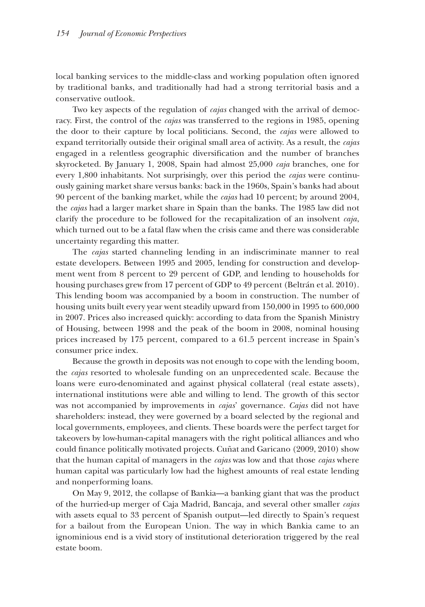local banking services to the middle-class and working population often ignored by traditional banks, and traditionally had had a strong territorial basis and a conservative outlook.

Two key aspects of the regulation of *cajas* changed with the arrival of democracy. First, the control of the *cajas* was transferred to the regions in 1985, opening the door to their capture by local politicians. Second, the *cajas* were allowed to expand territorially outside their original small area of activity. As a result, the xpand territorially outside their original small area of activity. As a result, the *cajas* engaged in a relentless geographic diversification and the number of branches skyrocketed. By January 1, 2008, Spain had almost 25,000 kyrocketed. By January 1, 2008, Spain had almost 25,000 *caja* branches, one for ranches, one for every 1,800 inhabitants. Not surprisingly, over this period the *cajas* were continuously gaining market share versus banks: back in the 1960s, Spain's banks had about 90 percent of the banking market, while the *cajas* had 10 percent; by around 2004, the *cajas* had a larger market share in Spain than the banks. The 1985 law did not clarify the procedure to be followed for the recapitalization of an insolvent *caja*, which turned out to be a fatal flaw when the crisis came and there was considerable aw when the crisis came and there was considerable uncertainty regarding this matter.

The *cajas* started channeling lending in an indiscriminate manner to real estate developers. Between 1995 and 2005, lending for construction and development went from 8 percent to 29 percent of GDP, and lending to households for housing purchases grew from 17 percent of GDP to 49 percent (Beltrán et al. 2010). This lending boom was accompanied by a boom in construction. The number of his lending boom was accompanied by a boom in construction. The number of housing units built every year went steadily upward from 150,000 in 1995 to 600,000 in 2007. Prices also increased quickly: according to data from the Spanish Ministry of Housing, between 1998 and the peak of the boom in 2008, nominal housing prices increased by 175 percent, compared to a 61.5 percent increase in Spain's consumer price index.

Because the growth in deposits was not enough to cope with the lending boom, the *cajas* resorted to wholesale funding on an unprecedented scale. Because the loans were euro-denominated and against physical collateral (real estate assets), international institutions were able and willing to lend. The growth of this sector was not accompanied by improvements in *cajas*' governance. *Cajas* did not have shareholders: instead, they were governed by a board selected by the regional and local governments, employees, and clients. These boards were the perfect target for takeovers by low-human-capital managers with the right political alliances and who could finance politically motivated projects. Cuñat and Garicano (2009, 2010) show that the human capital of managers in the *cajas* was low and that those *cajas* where human capital was particularly low had the highest amounts of real estate lending and nonperforming loans.

On May 9, 2012, the collapse of Bankia—a banking giant that was the product of the hurried-up merger of Caja Madrid, Bancaja, and several other smaller f the hurried-up merger of Caja Madrid, Bancaja, and several other smaller *cajas* with assets equal to 33 percent of Spanish output—led directly to Spain's request for a bailout from the European Union. The way in which Bankia came to an ignominious end is a vivid story of institutional deterioration triggered by the real gnominious end is a vivid story of institutional deterioration triggered by the real estate boom.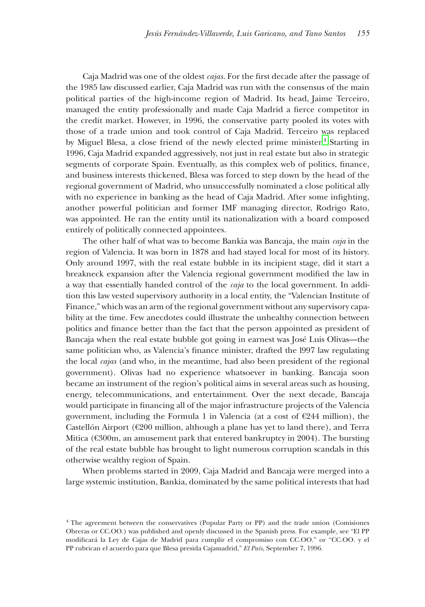Caja Madrid was one of the oldest *cajas*. For the first decade after the passage of the 1985 law discussed earlier, Caja Madrid was run with the consensus of the main political parties of the high-income region of Madrid. Its head, Jaime Terceiro, managed the entity professionally and made Caja Madrid a fierce competitor in the credit market. However, in 1996, the conservative party pooled its votes with those of a trade union and took control of Caja Madrid. Terceiro was replaced hose of a trade union and took control of Caja Madrid. Terceiro was replaced by Miguel Blesa, a close friend of the newly elected prime minister.<sup>4</sup> Starting in 1996, Caja Madrid expanded aggressively, not just in real estate but also in strategic segments of corporate Spain. Eventually, as this complex web of politics, finance, and business interests thickened, Blesa was forced to step down by the head of the regional government of Madrid, who unsuccessfully nominated a close political ally with no experience in banking as the head of Caja Madrid. After some infighting, another powerful politician and former IMF managing director, Rodrigo Rato, was appointed. He ran the entity until its nationalization with a board composed entirely of politically connected appointees.

The other half of what was to become Bankia was Bancaja, the main *caja* in the region of Valencia. It was born in 1878 and had stayed local for most of its history. Only around 1997, with the real estate bubble in its incipient stage, did it start a breakneck expansion after the Valencia regional government modified the law in a way that essentially handed control of the *caja* to the local government. In addition this law vested supervisory authority in a local entity, the "Valencian Institute of ion this law vested supervisory authority in a local entity, the "Valencian Institute of Finance," which was an arm of the regional government without any supervisory capability at the time. Few anecdotes could illustrate the unhealthy connection between politics and finance better than the fact that the person appointed as president of Bancaja when the real estate bubble got going in earnest was José Luis Olivas—the same politician who, as Valencia's finance minister, drafted the l997 law regulating the local *cajas* (and who, in the meantime, had also been president of the regional government). Olivas had no experience whatsoever in banking. Bancaja soon became an instrument of the region's political aims in several areas such as housing, energy, telecommunications, and entertainment. Over the next decade, Bancaja nergy, telecommunications, and entertainment. Over the next decade, Bancaja would participate in financing all of the major infrastructure projects of the Valencia government, including the Formula 1 in Valencia (at a cost of  $\epsilon$ 244 million), the Castellón Airport ( $\epsilon$ 200 million, although a plane has yet to land there), and Terra Mitica ( $\epsilon$ 300m, an amusement park that entered bankruptcy in 2004). The bursting of the real estate bubble has brought to light numerous corruption scandals in this otherwise wealthy region of Spain.

When problems started in 2009, Caja Madrid and Bancaja were merged into a large systemic institution, Bankia, dominated by the same political interests that had

<sup>4</sup> The agreement between the conservatives (Popular Party or PP) and the trade union (Comisiones Obreras or CC.OO.) was published and openly discussed in the Spanish press. For example, see "El PP modifi cará la Ley de Cajas de Madrid para cumplir el compromiso con CC.OO." or "CC.OO. y el PP rubrican el acuerdo para que Blesa presida Cajamadrid," *El País*, September 7, 1996.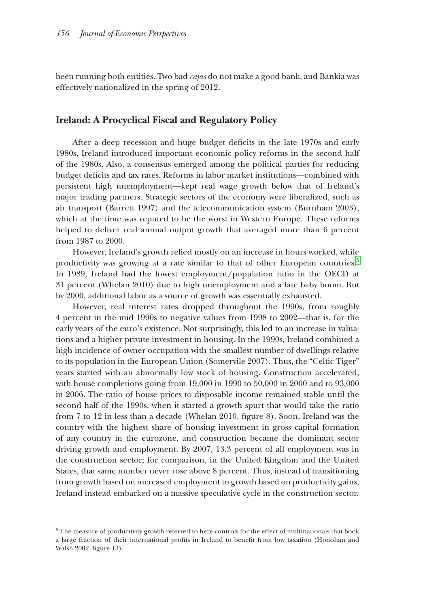been running both entities. Two bad *cajas* do not make a good bank, and Bankia was effectively nationalized in the spring of 2012.

#### **Ireland: A Procyclical Fiscal and Regulatory Policy**

After a deep recession and huge budget deficits in the late 1970s and early 1980s, Ireland introduced important economic policy reforms in the second half 980s, Ireland introduced important economic policy reforms in the second half of the 1980s. Also, a consensus emerged among the political parties for reducing budget deficits and tax rates. Reforms in labor market institutions—combined with persistent high unemployment—kept real wage growth below that of Ireland's major trading partners. Strategic sectors of the economy were liberalized, such as air transport (Barrett 1997) and the telecommunication system (Burnham 2003), which at the time was reputed to be the worst in Western Europe. These reforms helped to deliver real annual output growth that averaged more than 6 percent from  $1987$  to  $2000$ .

However, Ireland's growth relied mostly on an increase in hours worked, while productivity was growing at a rate similar to that of other European countries.<sup>5</sup> In 1989, Ireland had the lowest employment/population ratio in the OECD at 31 percent (Whelan 2010) due to high unemployment and a late baby boom. But by 2000, additional labor as a source of growth was essentially exhausted.

However, real interest rates dropped throughout the 1990s, from roughly 4 percent in the mid 1990s to negative values from 1998 to 2002—that is, for the percent in the mid 1990s to negative values from 1998 to 2002—that is, for the early years of the euro's existence. Not surprisingly, this led to an increase in valuations and a higher private investment in housing. In the 1990s, Ireland combined a high incidence of owner occupation with the smallest number of dwellings relative to its population in the European Union (Somervile 2007). Thus, the "Celtic Tiger" years started with an abnormally low stock of housing. Construction accelerated, with house completions going from  $19,000$  in 1990 to  $50,000$  in 2000 and to  $93,000$ in 2006. The ratio of house prices to disposable income remained stable until the second half of the 1990s, when it started a growth spurt that would take the ratio from  $7$  to 12 in less than a decade (Whelan 2010, figure 8). Soon, Ireland was the country with the highest share of housing investment in gross capital formation of any country in the eurozone, and construction became the dominant sector driving growth and employment. By 2007, 13.3 percent of all employment was in the construction sector; for comparison, in the United Kingdom and the United  $\frac{1}{\sqrt{2}}$ States, that same number never rose above 8 percent. Thus, instead of transitioning from growth based on increased employment to growth based on productivity gains, Ireland instead embarked on a massive speculative cycle in the construction sector.

<sup>&</sup>lt;sup>5</sup> The measure of productivity growth referred to here controls for the effect of multinationals that book a large fraction of their international profits in Ireland to benefit from low taxation (Honohan and Walsh 2002, figure 13).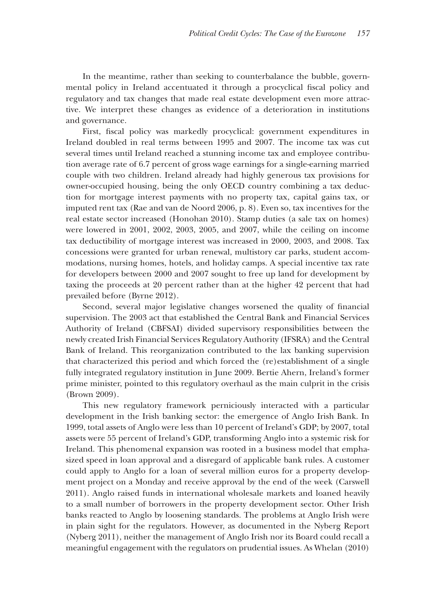In the meantime, rather than seeking to counterbalance the bubble, governmental policy in Ireland accentuated it through a procyclical fiscal policy and regulatory and tax changes that made real estate development even more attractive. We interpret these changes as evidence of a deterioration in institutions ive. We interpret these changes as evidence of a deterioration in institutions and governance.

First, fiscal policy was markedly procyclical: government expenditures in Ireland doubled in real terms between 1995 and 2007. The income tax was cut several times until Ireland reached a stunning income tax and employee contribution average rate of 6.7 percent of gross wage earnings for a single-earning married couple with two children. Ireland already had highly generous tax provisions for owner-occupied housing, being the only OECD country combining a tax deduction for mortgage interest payments with no property tax, capital gains tax, or ion for mortgage interest payments with no property tax, capital gains tax, or imputed rent tax (Rae and van de Noord 2006, p. 8). Even so, tax incentives for the mputed rent tax (Rae and van de Noord 2006, p. 8). Even so, tax incentives for the real estate sector increased (Honohan 2010). Stamp duties (a sale tax on homes) were lowered in  $2001$ ,  $2002$ ,  $2003$ ,  $2005$ , and  $2007$ , while the ceiling on income tax deductibility of mortgage interest was increased in 2000, 2003, and 2008. Tax concessions were granted for urban renewal, multistory car parks, student accommodations, nursing homes, hotels, and holiday camps. A special incentive tax rate for developers between 2000 and 2007 sought to free up land for development by taxing the proceeds at 20 percent rather than at the higher 42 percent that had prevailed before (Byrne 2012).

Second, several major legislative changes worsened the quality of financial supervision. The 2003 act that established the Central Bank and Financial Services Authority of Ireland (CBFSAI) divided supervisory responsibilities between the newly created Irish Financial Services Regulatory Authority (IFSRA) and the Central Bank of Ireland. This reorganization contributed to the lax banking supervision that characterized this period and which forced the (re)establishment of a single fully integrated regulatory institution in June 2009. Bertie Ahern, Ireland's former prime minister, pointed to this regulatory overhaul as the main culprit in the crisis (Brown 2009).

This new regulatory framework perniciously interacted with a particular development in the Irish banking sector: the emergence of Anglo Irish Bank. In 1999, total assets of Anglo were less than 10 percent of Ireland's GDP; by 2007, total assets were 55 percent of Ireland's GDP, transforming Anglo into a systemic risk for Ireland. This phenomenal expansion was rooted in a business model that emphasized speed in loan approval and a disregard of applicable bank rules. A customer could apply to Anglo for a loan of several million euros for a property development project on a Monday and receive approval by the end of the week (Carswell 2011). Anglo raised funds in international wholesale markets and loaned heavily 011). Anglo raised funds in international wholesale markets and loaned heavily to a small number of borrowers in the property development sector. Other Irish banks reacted to Anglo by loosening standards. The problems at Anglo Irish were in plain sight for the regulators. However, as documented in the Nyberg Report (Nyberg 2011), neither the management of Anglo Irish nor its Board could recall a meaningful engagement with the regulators on prudential issues. As Whelan (2010)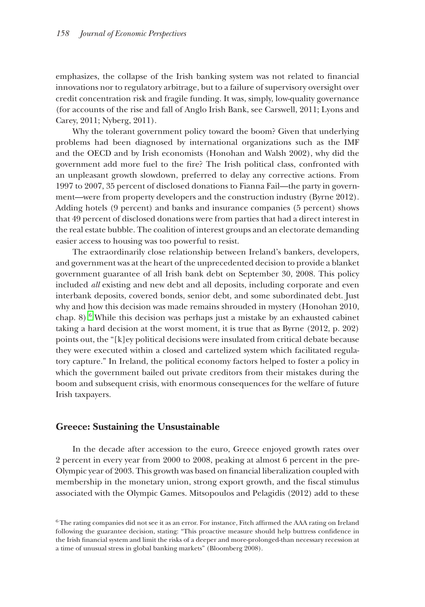emphasizes, the collapse of the Irish banking system was not related to financial innovations nor to regulatory arbitrage, but to a failure of supervisory oversight over credit concentration risk and fragile funding. It was, simply, low-quality governance redit concentration risk and fragile funding. It was, simply, low-quality governance (for accounts of the rise and fall of Anglo Irish Bank, see Carswell,  $2011$ ; Lyons and Carey, 2011; Nyberg, 2011).

Why the tolerant government policy toward the boom? Given that underlying problems had been diagnosed by international organizations such as the IMF and the OECD and by Irish economists (Honohan and Walsh 2002), why did the government add more fuel to the fire? The Irish political class, confronted with an unpleasant growth slowdown, preferred to delay any corrective actions. From 1997 to 2007, 35 percent of disclosed donations to Fianna Fail—the party in government—were from property developers and the construction industry (Byrne 2012). Adding hotels  $(9$  percent) and banks and insurance companies  $(5$  percent) shows that 49 percent of disclosed donations were from parties that had a direct interest in hat 49 percent of disclosed donations were from parties that had a direct interest in the real estate bubble. The coalition of interest groups and an electorate demanding easier access to housing was too powerful to resist.

The extraordinarily close relationship between Ireland's bankers, developers, and government was at the heart of the unprecedented decision to provide a blanket government guarantee of all Irish bank debt on September 30, 2008. This policy included *all* existing and new debt and all deposits, including corporate and even interbank deposits, covered bonds, senior debt, and some subordinated debt. Just nterbank deposits, covered bonds, senior debt, and some subordinated debt. Just why and how this decision was made remains shrouded in mystery (Honohan 2010, chap. 8).<sup>6</sup> While this decision was perhaps just a mistake by an exhausted cabinet taking a hard decision at the worst moment, it is true that as Byrne  $(2012, p. 202)$ points out, the "[k]ey political decisions were insulated from critical debate because they were executed within a closed and cartelized system which facilitated regulatory capture." In Ireland, the political economy factors helped to foster a policy in which the government bailed out private creditors from their mistakes during the boom and subsequent crisis, with enormous consequences for the welfare of future Irish taxpayers.

#### **Greece: Sustaining the Unsustainable**

In the decade after accession to the euro, Greece enjoyed growth rates over 2 percent in every year from 2000 to 2008, peaking at almost 6 percent in the pre-Olympic year of 2003. This growth was based on financial liberalization coupled with membership in the monetary union, strong export growth, and the fiscal stimulus associated with the Olympic Games. Mitsopoulos and Pelagidis (2012) add to these

 $^6$  The rating companies did not see it as an error. For instance, Fitch affirmed the AAA rating on Ireland following the guarantee decision, stating: "This proactive measure should help buttress confidence in the Irish financial system and limit the risks of a deeper and more-prolonged-than necessary recession at a time of unusual stress in global banking markets" (Bloomberg 2008).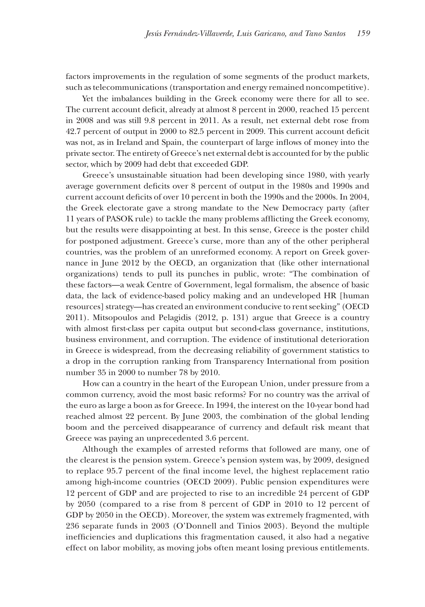factors improvements in the regulation of some segments of the product markets, such as telecommunications (transportation and energy remained noncompetitive).

Yet the imbalances building in the Greek economy were there for all to see. The current account deficit, already at almost 8 percent in 2000, reached 15 percent in 2008 and was still 9.8 percent in 2011. As a result, net external debt rose from 42.7 percent of output in 2000 to 82.5 percent in 2009. This current account deficit was not, as in Ireland and Spain, the counterpart of large inflows of money into the private sector. The entirety of Greece's net external debt is accounted for by the public sector, which by 2009 had debt that exceeded GDP.

Greece's unsustainable situation had been developing since 1980, with yearly average government deficits over 8 percent of output in the 1980s and 1990s and current account deficits of over 10 percent in both the 1990s and the 2000s. In 2004, the Greek electorate gave a strong mandate to the New Democracy party (after 11 years of PASOK rule) to tackle the many problems afflicting the Greek economy, but the results were disappointing at best. In this sense, Greece is the poster child for postponed adjustment. Greece's curse, more than any of the other peripheral countries, was the problem of an unreformed economy. A report on Greek governance in June 2012 by the OECD, an organization that (like other international organizations) tends to pull its punches in public, wrote: "The combination of these factors—a weak Centre of Government, legal formalism, the absence of basic data, the lack of evidence-based policy making and an undeveloped HR [human resources] strategy—has created an environment conducive to rent seeking" (OECD  $2011$ ). Mitsopoulos and Pelagidis ( $2012$ , p. 131) argue that Greece is a country with almost first-class per capita output but second-class governance, institutions, business environment, and corruption. The evidence of institutional deterioration in Greece is widespread, from the decreasing reliability of government statistics to a drop in the corruption ranking from Transparency International from position number  $35$  in  $2000$  to number  $78$  by  $2010$ .

How can a country in the heart of the European Union, under pressure from a common currency, avoid the most basic reforms? For no country was the arrival of the euro as large a boon as for Greece. In 1994, the interest on the 10-year bond had reached almost 22 percent. By June 2003, the combination of the global lending boom and the perceived disappearance of currency and default risk meant that Greece was paying an unprecedented 3.6 percent.

Although the examples of arrested reforms that followed are many, one of the clearest is the pension system. Greece's pension system was, by 2009, designed to replace 95.7 percent of the final income level, the highest replacement ratio among high-income countries (OECD 2009). Public pension expenditures were 12 percent of GDP and are projected to rise to an incredible 24 percent of GDP by  $2050$  (compared to a rise from 8 percent of GDP in  $2010$  to 12 percent of GDP by 2050 in the OECD). Moreover, the system was extremely fragmented, with 236 separate funds in 2003 (O'Donnell and Tinios 2003). Beyond the multiple 36 separate funds in 2003 (O'Donnell and Tinios 2003). Beyond the multiple inefficiencies and duplications this fragmentation caused, it also had a negative effect on labor mobility, as moving jobs often meant losing previous entitlements.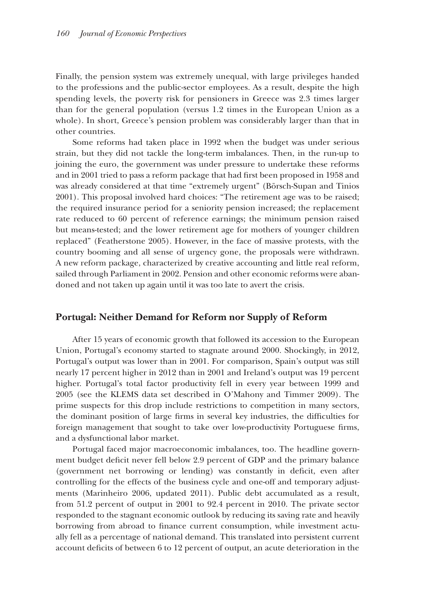Finally, the pension system was extremely unequal, with large privileges handed to the professions and the public-sector employees. As a result, despite the high spending levels, the poverty risk for pensioners in Greece was 2.3 times larger than for the general population (versus  $1.2$  times in the European Union as a whole). In short, Greece's pension problem was considerably larger than that in other countries.

Some reforms had taken place in 1992 when the budget was under serious strain, but they did not tackle the long-term imbalances. Then, in the run-up to joining the euro, the government was under pressure to undertake these reforms and in 2001 tried to pass a reform package that had first been proposed in 1958 and was already considered at that time "extremely urgent" (Börsch-Supan and Tinios 2001). This proposal involved hard choices: "The retirement age was to be raised; the required insurance period for a seniority pension increased; the replacement rate reduced to 60 percent of reference earnings; the minimum pension raised but means-tested; and the lower retirement age for mothers of younger children replaced" (Featherstone 2005). However, in the face of massive protests, with the country booming and all sense of urgency gone, the proposals were withdrawn. A new reform package, characterized by creative accounting and little real reform, sailed through Parliament in 2002. Pension and other economic reforms were abandoned and not taken up again until it was too late to avert the crisis.

#### **Portugal: Neither Demand for Reform nor Supply of Reform**

After 15 years of economic growth that followed its accession to the European Union, Portugal's economy started to stagnate around 2000. Shockingly, in 2012, Portugal's output was lower than in 2001. For comparison, Spain's output was still nearly 17 percent higher in 2012 than in 2001 and Ireland's output was 19 percent higher. Portugal's total factor productivity fell in every year between 1999 and 2005 (see the KLEMS data set described in O'Mahony and Timmer 2009). The prime suspects for this drop include restrictions to competition in many sectors, the dominant position of large firms in several key industries, the difficulties for foreign management that sought to take over low-productivity Portuguese firms, and a dysfunctional labor market.

Portugal faced major macroeconomic imbalances, too. The headline government budget deficit never fell below 2.9 percent of GDP and the primary balance (government net borrowing or lending) was constantly in deficit, even after controlling for the effects of the business cycle and one-off and temporary adjustments (Marinheiro 2006, updated 2011). Public debt accumulated as a result, from 51.2 percent of output in 2001 to 92.4 percent in 2010. The private sector responded to the stagnant economic outlook by reducing its saving rate and heavily borrowing from abroad to finance current consumption, while investment actually fell as a percentage of national demand. This translated into persistent current lly fell as a percentage of national demand. This translated into persistent current account deficits of between 6 to 12 percent of output, an acute deterioration in the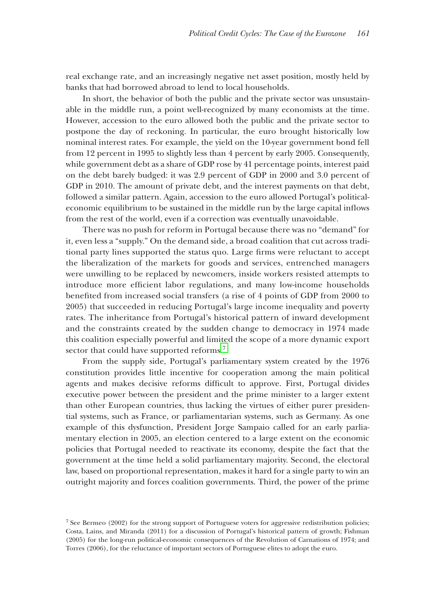real exchange rate, and an increasingly negative net asset position, mostly held by banks that had borrowed abroad to lend to local households.

In short, the behavior of both the public and the private sector was unsustainable in the middle run, a point well-recognized by many economists at the time. However, accession to the euro allowed both the public and the private sector to postpone the day of reckoning. In particular, the euro brought historically low nominal interest rates. For example, the yield on the 10-year government bond fell from 12 percent in 1995 to slightly less than 4 percent by early 2005. Consequently, while government debt as a share of GDP rose by 41 percentage points, interest paid on the debt barely budged: it was 2.9 percent of GDP in 2000 and 3.0 percent of GDP in 2010. The amount of private debt, and the interest payments on that debt, followed a similar pattern. Again, accession to the euro allowed Portugal's politicaleconomic equilibrium to be sustained in the middle run by the large capital inflows from the rest of the world, even if a correction was eventually unavoidable.

There was no push for reform in Portugal because there was no "demand" for it, even less a "supply." On the demand side, a broad coalition that cut across traditional party lines supported the status quo. Large firms were reluctant to accept the liberalization of the markets for goods and services, entrenched managers were unwilling to be replaced by newcomers, inside workers resisted attempts to introduce more efficient labor regulations, and many low-income households benefited from increased social transfers (a rise of 4 points of GDP from 2000 to 2005) that succeeded in reducing Portugal's large income inequality and poverty 005) that succeeded in reducing Portugal's large income inequality and poverty rates. The inheritance from Portugal's historical pattern of inward development and the constraints created by the sudden change to democracy in 1974 made this coalition especially powerful and limited the scope of a more dynamic export his coalition especially powerful and limited the scope of a more dynamic export sector that could have supported reforms. $^7$ 

From the supply side, Portugal's parliamentary system created by the 1976 constitution provides little incentive for cooperation among the main political agents and makes decisive reforms difficult to approve. First, Portugal divides executive power between the president and the prime minister to a larger extent than other European countries, thus lacking the virtues of either purer presidential systems, such as France, or parliamentarian systems, such as Germany. As one example of this dysfunction, President Jorge Sampaio called for an early parliamentary election in 2005, an election centered to a large extent on the economic policies that Portugal needed to reactivate its economy, despite the fact that the government at the time held a solid parliamentary majority. Second, the electoral law, based on proportional representation, makes it hard for a single party to win an outright majority and forces coalition governments. Third, the power of the prime

<sup>7</sup> See Bermeo (2002) for the strong support of Portuguese voters for aggressive redistribution policies; Costa, Lains, and Miranda (2011) for a discussion of Portugal's historical pattern of growth; Fishman (2005) for the long-run political-economic consequences of the Revolution of Carnations of 1974; and Torres (2006), for the reluctance of important sectors of Portuguese elites to adopt the euro.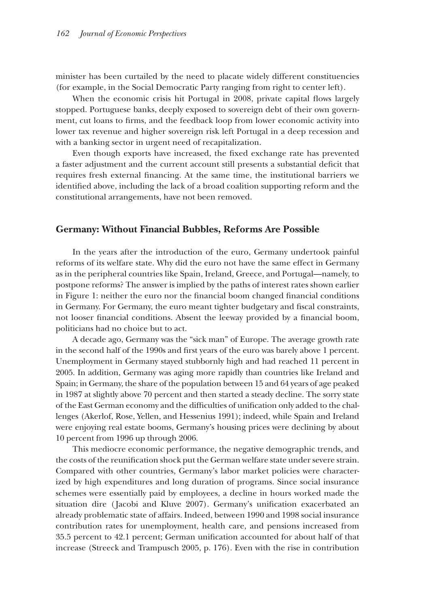minister has been curtailed by the need to placate widely different constituencies (for example, in the Social Democratic Party ranging from right to center left).

When the economic crisis hit Portugal in 2008, private capital flows largely stopped. Portuguese banks, deeply exposed to sovereign debt of their own government, cut loans to firms, and the feedback loop from lower economic activity into lower tax revenue and higher sovereign risk left Portugal in a deep recession and with a banking sector in urgent need of recapitalization.

Even though exports have increased, the fixed exchange rate has prevented a faster adjustment and the current account still presents a substantial deficit that requires fresh external financing. At the same time, the institutional barriers we identified above, including the lack of a broad coalition supporting reform and the constitutional arrangements, have not been removed.

#### **Germany: Without Financial Bubbles, Reforms Are Possible**

In the years after the introduction of the euro, Germany undertook painful reforms of its welfare state. Why did the euro not have the same effect in Germany as in the peripheral countries like Spain, Ireland, Greece, and Portugal—namely, to postpone reforms? The answer is implied by the paths of interest rates shown earlier in Figure 1: neither the euro nor the financial boom changed financial conditions in Germany. For Germany, the euro meant tighter budgetary and fiscal constraints, not looser financial conditions. Absent the leeway provided by a financial boom, politicians had no choice but to act.

A decade ago, Germany was the "sick man" of Europe. The average growth rate in the second half of the 1990s and first years of the euro was barely above 1 percent. Unemployment in Germany stayed stubbornly high and had reached 11 percent in 2005. In addition, Germany was aging more rapidly than countries like Ireland and Spain; in Germany, the share of the population between 15 and 64 years of age peaked in 1987 at slightly above 70 percent and then started a steady decline. The sorry state of the East German economy and the difficulties of unification only added to the challenges (Akerlof, Rose, Yellen, and Hessenius 1991); indeed, while Spain and Ireland were enjoying real estate booms, Germany's housing prices were declining by about  $10$  percent from 1996 up through 2006.

This mediocre economic performance, the negative demographic trends, and the costs of the reunification shock put the German welfare state under severe strain. Compared with other countries, Germany's labor market policies were characterized by high expenditures and long duration of programs. Since social insurance schemes were essentially paid by employees, a decline in hours worked made the situation dire (Jacobi and Kluve 2007). Germany's unification exacerbated an already problematic state of affairs. Indeed, between 1990 and 1998 social insurance lready problematic state of affairs. Indeed, between 1990 and 1998 social insurance contribution rates for unemployment, health care, and pensions increased from 35.5 percent to 42.1 percent; German unification accounted for about half of that increase (Streeck and Trampusch 2005, p. 176). Even with the rise in contribution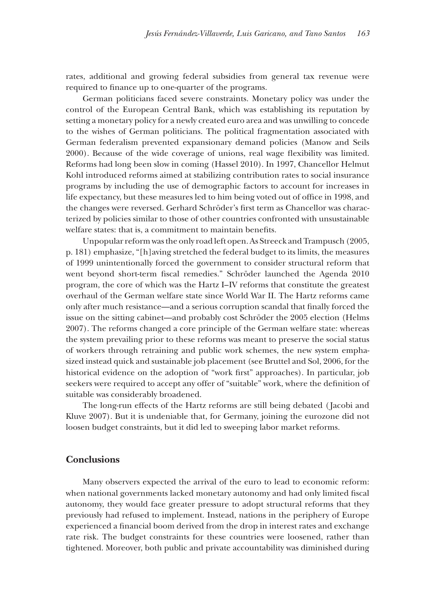rates, additional and growing federal subsidies from general tax revenue were required to finance up to one-quarter of the programs.

German politicians faced severe constraints. Monetary policy was under the control of the European Central Bank, which was establishing its reputation by setting a monetary policy for a newly created euro area and was unwilling to concede to the wishes of German politicians. The political fragmentation associated with German federalism prevented expansionary demand policies (Manow and Seils 2000). Because of the wide coverage of unions, real wage flexibility was limited. Reforms had long been slow in coming (Hassel 2010). In 1997, Chancellor Helmut Kohl introduced reforms aimed at stabilizing contribution rates to social insurance programs by including the use of demographic factors to account for increases in life expectancy, but these measures led to him being voted out of office in 1998, and the changes were reversed. Gerhard Schröder's first term as Chancellor was characterized by policies similar to those of other countries confronted with unsustainable erized by policies similar to those of other countries confronted with unsustainable welfare states: that is, a commitment to maintain benefits.

Unpopular reform was the only road left open. As Streeck and Trampusch (2005, p. 181) emphasize, "[h]aving stretched the federal budget to its limits, the measures of 1999 unintentionally forced the government to consider structural reform that went beyond short-term fiscal remedies." Schröder launched the Agenda 2010 program, the core of which was the Hartz I– IV reforms that constitute the greatest rogram, the core of which was the Hartz I–IV reforms that constitute the greatest overhaul of the German welfare state since World War II. The Hartz reforms came only after much resistance—and a serious corruption scandal that finally forced the issue on the sitting cabinet—and probably cost Schröder the 2005 election (Helms 2007). The reforms changed a core principle of the German welfare state: whereas the system prevailing prior to these reforms was meant to preserve the social status of workers through retraining and public work schemes, the new system emphasized instead quick and sustainable job placement (see Bruttel and Sol, 2006, for the historical evidence on the adoption of "work first" approaches). In particular, job seekers were required to accept any offer of "suitable" work, where the definition of suitable was considerably broadened.

The long-run effects of the Hartz reforms are still being debated (Jacobi and Kluve 2007). But it is undeniable that, for Germany, joining the eurozone did not loosen budget constraints, but it did led to sweeping labor market reforms.

#### **Conclusions**

Many observers expected the arrival of the euro to lead to economic reform: when national governments lacked monetary autonomy and had only limited fiscal autonomy, they would face greater pressure to adopt structural reforms that they previously had refused to implement. Instead, nations in the periphery of Europe reviously had refused to implement. Instead, nations in the periphery of Europe experienced a financial boom derived from the drop in interest rates and exchange rate risk. The budget constraints for these countries were loosened, rather than tightened. Moreover, both public and private accountability was diminished during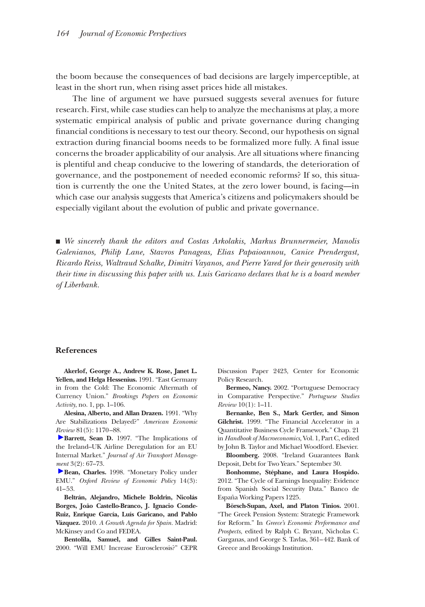the boom because the consequences of bad decisions are largely imperceptible, at least in the short run, when rising asset prices hide all mistakes.

The line of argument we have pursued suggests several avenues for future research. First, while case studies can help to analyze the mechanisms at play, a more systematic empirical analysis of public and private governance during changing financial conditions is necessary to test our theory. Second, our hypothesis on signal extraction during financial booms needs to be formalized more fully. A final issue concerns the broader applicability of our analysis. Are all situations where financing is plentiful and cheap conducive to the lowering of standards, the deterioration of governance, and the postponement of needed economic reforms? If so, this situation is currently the one the United States, at the zero lower bound, is facing—in which case our analysis suggests that America's citizens and policymakers should be especially vigilant about the evolution of public and private governance.

■ We sincerely thank the editors and Costas Arkolakis, Markus Brunnermeier, Manolis *Galenianos, Philip Lane, Stavros Panageas, Elias Papaioannou, Canice Prendergast, Ricardo Reiss, Waltraud Schalke, Dimitri Vayanos, and Pierre Yared for their generosity with their time in discussing this paper with us. Luis Garicano declares that he is a board member of Liberbank.*

#### **References**

**Akerlof, George A., Andrew K. Rose, Janet L. Yellen, and Helga Hessenius.** 1991. "East Germany in from the Cold: The Economic Aftermath of Currency Union." *Brookings Papers on Economic Activity*, no. 1, pp. 1–106.

**Alesina, Alberto, and Allan Drazen.** 1991. "Why Are Stabilizations Delayed?" *American Economic Review* 81(5): 1170-88.

**[B](http://pubs.aeaweb.org/action/showLinks?crossref=10.1016%2FS0969-6997%2897%2900003-3)arrett, Sean D.** 1997. "The Implications of the Ireland–UK Airline Deregulation for an EU Internal Market." *Journal of Air Transport Manage*ment 3(2): 67-73.

**Bean, Charles.** 1998. "Monetary Policy under EMU." *Oxford Review of Economic Policy* 14(3):  $41 - 53.$ 

**Beltrán, Alejandro, Michele Boldrin, Nicolás Borges, João Castello-Branco, J. Ignacio Conde-Ruiz, Enrique García, Luís Garicano, and Pablo Vázquez.** 2010. *A Growth Agenda for Spain.* Madrid: McKinsey and Co and FEDEA.

**Bentolila, Samuel, and Gilles Saint-Paul.**  2000. "Will EMU Increase Eurosclerosis?" CEPR

Discussion Paper 2423, Center for Economic Policy Research.

**Bermeo, Nancy.** 2002. "Portuguese Democracy in Comparative Perspective." *Portuguese Studies Review* 10(1): 1–11.

**Bernanke, Ben S., Mark Gertler, and Simon Gilchrist.** 1999. "The Financial Accelerator in a Quantitative Business Cycle Framework." Chap. 21 in *Handbook of Macroeconomics,* Vol. 1, Part C, edited by John B. Taylor and Michael Woodford. Elsevier.

**Bloomberg.** 2008. "Ireland Guarantees Bank Deposit, Debt for Two Years." September 30.

**Bonhomme, Stéphane, and Laura Hospido.**  2012. "The Cycle of Earnings Inequality: Evidence from Spanish Social Security Data." Banco de España Working Papers 1225.

**Börsch-Supan, Axel, and Platon Tinios.** 2001. "The Greek Pension System: Strategic Framework for Reform." In *Greece's Economic Performance and Prospects*, edited by Ralph C. Bryant, Nicholas C. Garganas, and George S. Tavlas, 361– 442. Bank of Greece and Brookings Institution.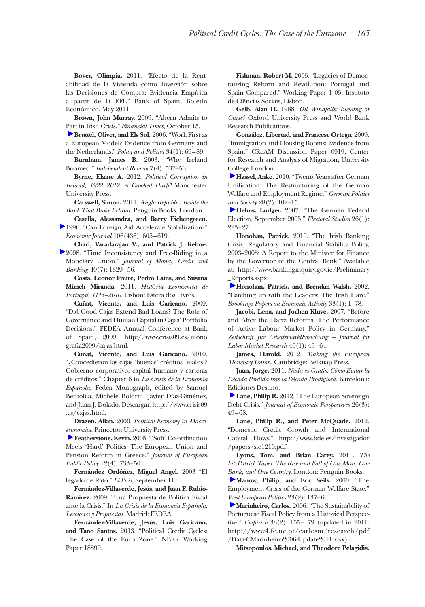**Bover, Olimpia.** 2011. "Efecto de la Rentabilidad de la Vivienda como Inversión sobre las Decisiones de Compra: Evidencia Empírica a partir de la EFF." Bank of Spain, Boletín Económico, May 2011.

**Brown, John Murray.** 2009. "Ahern Admits to [Par](http://pubs.aeaweb.org/action/showLinks?crossref=10.1332%2F030557306775212142)t in Irish Crisis." *Financial Times,* October 15.

**Bruttel, Oliver, and Els Sol.** 2006. "Work First as a European Model? Evidence from Germany and the Netherlands." *Policy and Politics* 34(1): 69 – 89.

**Burnham, James B.** 2003. "Why Ireland Boomed." *Independent Review* 7(4): 537-56.

**Byrne, Elaine A.** 2012. *Political Corruption in Ireland, 1922–2012: A Crooked Harp?* Manchester University Press.

**Carswell, Simon.** 2011. *Anglo Republic: Inside the Bank That Broke Ireland.* Penguin Books, London.

**Casella, Alessandra, and Barry Eichengreen.**  1996. "Can Foreign Aid Accelerate Stabilization?" *Economic Journal* 106(436): 605 – 619.

**Chari, Varadarajan V., and Patrick J. Kehoe.**  2008. "Time Inconsistency and Free-Riding in a Monetary Union." *Journal of Money, Credit and Banking* 40(7): 1329 – 56.

**Costa, Leonor Freire, Pedro Lains, and Susana Münch Miranda.** 2011. *Hist*ó*ria Econ*ó*mica de Portugal, 1143–2010.* Lisbon: Esfera dos Livros.

**Cuñat, Vicente, and Luis Garicano.** 2009. "Did Good Cajas Extend Bad Loans? The Role of Governance and Human Capital in Cajas' Portfolio Decisions." FEDEA Annual Conference at Bank [of Spain, 2009. http://www.crisis09.es/mono](http://www.crisis09.es/monografia2009/cajas.html) grafia 2009/cajas.html.

**Cuñat, Vicente, and Luis Garicano.** 2010. "¿ Concedieron las cajas 'buenas' créditos 'malos'? Gobierno corporativo, capital humano y carteras de créditos." Chapter 6 in *La Crisis de la Economía Española*, Fedea Monograph, edited by Samuel Bentolila, Michele Boldrin, Javier Díaz-Giménez, [and Juan J. Dolado. Descargar. http://www.crisis09](http://www.crisis09.es/cajas.html) .es/cajas.html.

**Drazen, Allan.** 2000. *Political Economy in Macro[econ](http://pubs.aeaweb.org/action/showLinks?crossref=10.1080%2F13501760500160631)omics.* Princeton University Press.

**Featherstone, Kevin.** 2005. "'Soft' Co-ordination Meets 'Hard' Politics: The European Union and Pension Reform in Greece." *Journal of European*  Public Policy 12(4): 733-50.

**Fernández Ordóñez, Miguel Angel.** 2003 "El legado de Rato." *El País*, September 11.

**Fernández-Villaverde, Jesús, and Juan F. Rubio-Ramírez.** 2009. "Una Propuesta de Política Fiscal ante la Crisis." In *La Crisis de la Economía Española: Lecciones y Propuestas.* Madrid: FEDEA.

**Fernández-Villaverde, Jesús, Luis Garicano, and Tano Santos.** 2013. "Political Credit Cycles: The Case of the Euro Zone." NBER Working Paper 18899.

Fishman, Robert M. 2005. "Legacies of Democratizing Reform and Revolution: Portugal and Spain Compared." Working Paper 1-05, Instituto de Ciências Sociais, Lisbon.

**Gelb, Alan H.** 1988. *Oil Windfalls: Blessing or Curse?* Oxford University Press and World Bank Research Publications.

**González, Libertad, and Francesc Ortega.** 2009. "Immigration and Housing Booms: Evidence from Spain." CReAM Discussion Paper 0919, Center for Research and Analysis of Migration, University [Col](http://pubs.aeaweb.org/action/showLinks?crossref=10.3167%2Fgps.2010.280207)lege London.

**Hassel, Anke.** 2010. "Twenty Years after German Unification: The Restructuring of the German Welfare and Employment Regime." *German Politics [and](http://pubs.aeaweb.org/action/showLinks?crossref=10.1016%2Fj.electstud.2006.03.002) Society* 28(2): 102–15.

**Helms, Ludger.** 2007. "The German Federal Election, September 2005." *Electoral Studies* 26(1): 223 –27.

**Honohan, Patrick.** 2010. "The Irish Banking Crisis, Regulatory and Financial Stability Policy, 2003–2008: A Report to the Minister for Finance by the Governor of the Central Bank." Available [at: http://www.bankinginquiry.gov.ie/Preliminary](http://www.bankinginquiry.gov.ie/Preliminary_Reports.aspx) [\\_Re](http://pubs.aeaweb.org/action/showLinks?crossref=10.1353%2Feca.2002.0007)ports.aspx.

**Honohan, Patrick, and Brendan Walsh.** 2002. "Catching up with the Leaders: The Irish Hare." *Brookings Papers on Economic Activity* 33(1): 1–78.

**Jacobi, Lena, and Jochen Kluve.** 2007. "Before and After the Hartz Reforms: The Performance of Active Labour Market Policy in Germany." *Zeitschrift für ArbeitsmarktForschung – Journal for Labor Market Research* 40(1): 45 – 64.

**James, Harold.** 2012. *Making the European Monetary Union.* Cambridge: Belknap Press.

**Juan, Jorge.** 2011. *Nada es Gratis: Cómo Evitar la Década Perdida tras la Década Prodigiosa.* Barcelona: [Edi](http://pubs.aeaweb.org/action/showLinks?system=10.1257%2Fjep.26.3.49)ciones Destino.

**Lane, Philip R.** 2012. "The European Sovereign Debt Crisis." *Journal of Economic Perspectives* 26(3):  $49 - 68.$ 

**Lane, Philip R., and Peter McQuade.** 2012. "Domestic Credit Growth and International Capital Flows." [http://www.bde.es/investigador](http://www.bde.es/investigador/papers/sie1210.pdf) /papers/sie1210.pdf.

**Lyons, Tom, and Brian Carey.** 2011. *The FitzPatrick Tapes: The Rise and Fall of One Man, One [Ban](http://pubs.aeaweb.org/action/showLinks?crossref=10.1080%2F01402380008425370)k, and One Country.* London: Penguin Books.

**Manow, Philip, and Eric Seils.** 2000. "The Employment Crisis of the German Welfare State." *[Wes](http://pubs.aeaweb.org/action/showLinks?crossref=10.1007%2Fs10663-006-9013-0)t European Politics* 23(2): 137– 60.

Marinheiro, Carlos. 2006. "The Sustainability of Portuguese Fiscal Policy from a Historical Perspective." *Empirica* 33(2): 155 –179 (updated in 2011: [http://www4.fe.uc.pt/carlosm/research/pdf](http://www4.fe.uc.pt/carlosm/research/pdf/Data-CMarinheiro2006-Update2011.xlsx) /Data-CMarinheiro2006-Update2011.xlsx).

**Mitsopoulos, Michael, and Theodore Pelagidis.**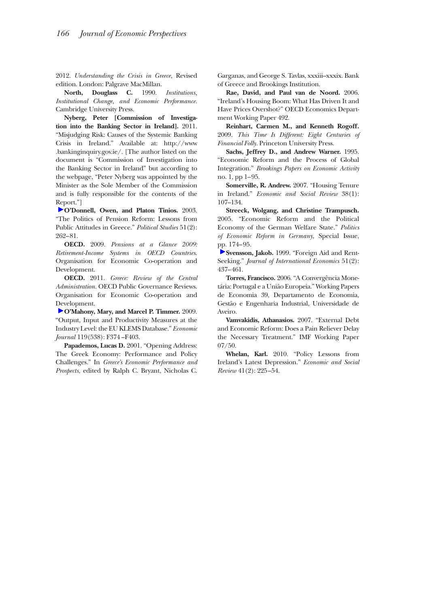2012. *Understanding the Crisis in Greece*, Revised edition. London: Palgrave MacMillan.

**North, Douglass C.** 1990. *Institutions, Institutional Change, and Economic Performance.*  Cambridge University Press.

**Nyberg, Peter [Commission of Investigation into the Banking Sector in Ireland].** 2011. "Misjudging Risk: Causes of the Systemic Banking Crisis in Ireland." Available at: http://www [.bankinginquiry.gov.ie/. \[The author listed on the](http://www.bankinginquiry.gov.ie/)  document is "Commission of Investigation into the Banking Sector in Ireland" but according to the webpage, "Peter Nyberg was appointed by the Minister as the Sole Member of the Commission and is fully responsible for the contents of the [Rep](http://pubs.aeaweb.org/action/showLinks?crossref=10.1111%2F1467-9248.00423)ort."]

**O'Donnell, Owen, and Platon Tinios.** 2003. "The Politics of Pension Reform: Lessons from Public Attitudes in Greece." *Political Studies* 51(2): 262– 81.

**OECD.** 2009. *Pensions at a Glance 2009: Retirement-Income Systems in OECD Countries*. Organisation for Economic Co-operation and Development.

**OECD.** 2011. *Greece: Review of the Central Administration.* OECD Public Governance Reviews. Organisation for Economic Co-operation and [Dev](http://pubs.aeaweb.org/action/showLinks?crossref=10.1111%2Fj.1468-0297.2009.02280.x)elopment.

**O'Mahony, Mary, and Marcel P. Timmer.** 2009. "Output, Input and Productivity Measures at the Industry Level: the EU KLEMS Database." *Economic Journal* 119(538): F374 – F403.

Papademos, Lucas D. 2001. "Opening Address: The Greek Economy: Performance and Policy Challenges." In *Greece's Economic Performance and Prospects*, edited by Ralph C. Bryant, Nicholas C.

Garganas, and George S. Tavlas, xxxiii–xxxix. Bank of Greece and Brookings Institution.

**Rae, David, and Paul van de Noord.** 2006. "Ireland's Housing Boom: What Has Driven It and Have Prices Overshot?" OECD Economics Department Working Paper 492.

**Reinhart, Carmen M., and Kenneth Rogoff.**  2009. *This Time Is Different: Eight Centuries of Financial Folly.* Princeton University Press.

**Sachs, Jeffrey D., and Andrew Warner.** 1995. "Economic Reform and the Process of Global Integration." *Brookings Papers on Economic Activity* no. 1, pp 1– 95.

**Somerville, R. Andrew.** 2007. "Housing Tenure in Ireland." *Economic and Social Review* 38(1): 107–134.

**Streeck, Wolgang, and Christine Trampusch.**  2005. "Economic Reform and the Political Economy of the German Welfare State." *Politics of Economic Reform in Germany*, Special Issue, [pp.](http://pubs.aeaweb.org/action/showLinks?crossref=10.1016%2FS0022-1996%2899%2900014-8) 174– 95.

**Svensson, Jakob.** 1999. "Foreign Aid and Rent-Seeking." *Journal of International Economics* 51(2): 437– 461.

**Torres, Francisco.** 2006. "A Convergência Monetária: Portugal e a União Europeia." Working Papers de Economia 39, Departamento de Economia, Gestão e Engenharia Industrial, Universidade de Aveiro.

**Vamvakidis, Athanasios.** 2007. "External Debt and Economic Reform: Does a Pain Reliever Delay the Necessary Treatment." IMF Working Paper 07/50.

**Whelan, Karl.** 2010. "Policy Lessons from Ireland's Latest Depression." *Economic and Social Review*  $41(2)$ : 225-54.